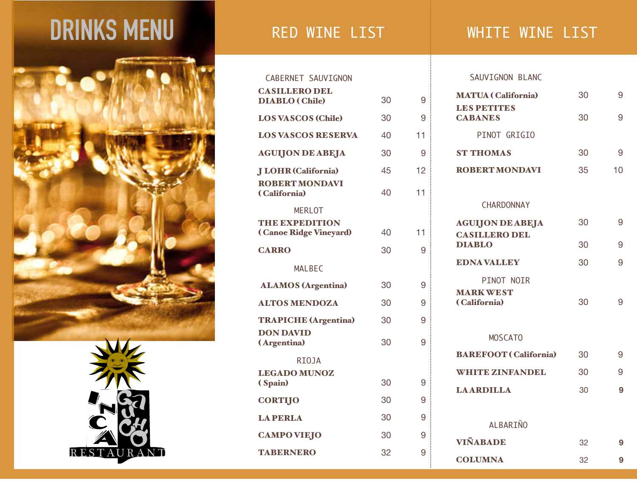## **DRINKS MENU** RED WINE LIST WHITE WINE LIST





DIABLO ( Chile) 30 9

LOS VASCOS (Chile) 30 9

LOS VASCOS RESERVA 40 11

AGUIJON DE ABEJA 30 9

JLOHR (California) 45 12

( California) 40 11

( Canoe Ridge Vineyard) 40 11

CARRO 30 9

ALAMOS (Argentina) 30 9

ALTOS MENDOZA 30 9

TRAPICHE (Argentina) 30 9

(Argentina) 30 9

( Spain) 30 9

CORTIJO 30 9

LA PERLA 30 9

CAMPO VIEJO 30 9

TABERNERO 32 9

p CABERNET SAUVIGNON

CASILLERO DEL

ROBERT MONDAVI

MERLOT THE EXPEDITION

MALBEC

RIOJA

LEGADO MUNOZ

DON DAVID

## SAUVIGNON BLANC

| <b>MATUA</b> (California)                       | 30 | 9  |
|-------------------------------------------------|----|----|
| LES PETITES<br><b>CABANES</b>                   | 30 | 9  |
| PINOT GRIGIO                                    |    |    |
| <b>ST THOMAS</b>                                | 30 | 9  |
| <b>ROBERT MONDAVI</b>                           | 35 | 10 |
|                                                 |    |    |
| <b>CHARDONNAY</b>                               |    |    |
| <b>AGUIJON DE ABEJA</b><br><b>CASILLERO DEL</b> | 30 | 9  |
| <b>DIABLO</b>                                   | 30 | 9  |
| <b>EDNAVALLEY</b>                               | 30 | 9  |
| PINOT NOIR                                      |    |    |
| <b>MARK WEST</b><br>(California)                | 30 | 9  |
|                                                 |    |    |
| <b>MOSCATO</b>                                  |    |    |
| <b>BAREFOOT</b> (California)                    | 30 | 9  |
| <b>WHITE ZINFANDEL</b>                          | 30 | 9  |
| <b>LAARDILLA</b>                                | 30 | 9  |
|                                                 |    |    |
| <b>ALBARIÑO</b>                                 |    |    |
| VIÑABADE                                        | 32 | 9  |
| <b>COLUMNA</b>                                  | 32 | 9  |